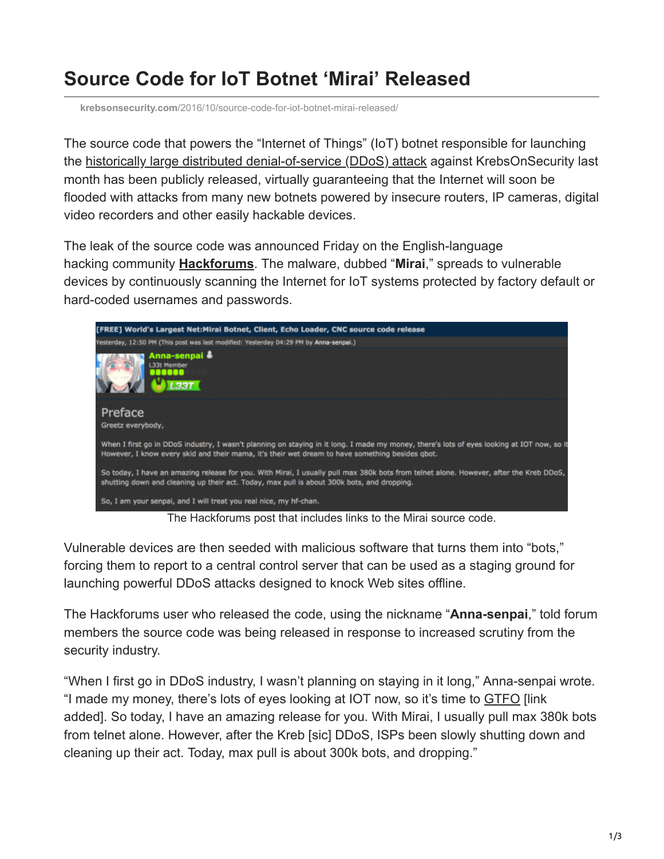## **Source Code for IoT Botnet 'Mirai' Released**

**krebsonsecurity.com**[/2016/10/source-code-for-iot-botnet-mirai-released/](https://krebsonsecurity.com/2016/10/source-code-for-iot-botnet-mirai-released/)

The source code that powers the "Internet of Things" (IoT) botnet responsible for launching the [historically large distributed denial-of-service \(DDoS\) attack](https://krebsonsecurity.com/2016/09/krebsonsecurity-hit-with-record-ddos/) against KrebsOnSecurity last month has been publicly released, virtually guaranteeing that the Internet will soon be flooded with attacks from many new botnets powered by insecure routers, IP cameras, digital video recorders and other easily hackable devices.

The leak of the source code was announced Friday on the English-language hacking community **[Hackforums](http://krebsonsecurity.com/?s=hackforums&x=0&y=0)**. The malware, dubbed "**Mirai**," spreads to vulnerable devices by continuously scanning the Internet for IoT systems protected by factory default or hard-coded usernames and passwords.



The Hackforums post that includes links to the Mirai source code.

Vulnerable devices are then seeded with malicious software that turns them into "bots," forcing them to report to a central control server that can be used as a staging ground for launching powerful DDoS attacks designed to knock Web sites offline.

The Hackforums user who released the code, using the nickname "**Anna-senpai**," told forum members the source code was being released in response to increased scrutiny from the security industry.

"When I first go in DDoS industry, I wasn't planning on staying in it long," Anna-senpai wrote. "I made my money, there's lots of eyes looking at IOT now, so it's time to [GTFO](http://www.urbandictionary.com/define.php?term=GTFO) [link added]. So today, I have an amazing release for you. With Mirai, I usually pull max 380k bots from telnet alone. However, after the Kreb [sic] DDoS, ISPs been slowly shutting down and cleaning up their act. Today, max pull is about 300k bots, and dropping."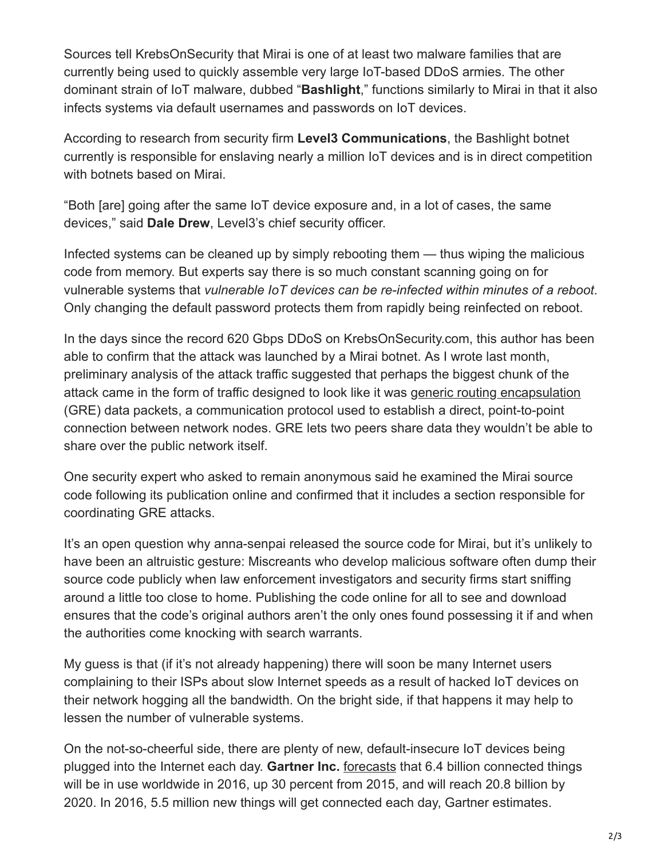Sources tell KrebsOnSecurity that Mirai is one of at least two malware families that are currently being used to quickly assemble very large IoT-based DDoS armies. The other dominant strain of IoT malware, dubbed "**Bashlight**," functions similarly to Mirai in that it also infects systems via default usernames and passwords on IoT devices.

According to research from security firm **Level3 Communications**, the Bashlight botnet currently is responsible for enslaving nearly a million IoT devices and is in direct competition with botnets based on Mirai.

"Both [are] going after the same IoT device exposure and, in a lot of cases, the same devices," said **Dale Drew**, Level3's chief security officer.

Infected systems can be cleaned up by simply rebooting them — thus wiping the malicious code from memory. But experts say there is so much constant scanning going on for vulnerable systems that *vulnerable IoT devices can be re-infected within minutes of a reboot*. Only changing the default password protects them from rapidly being reinfected on reboot.

In the days since the record 620 Gbps DDoS on KrebsOnSecurity.com, this author has been able to confirm that the attack was launched by a Mirai botnet. As I wrote last month, preliminary analysis of the attack traffic suggested that perhaps the biggest chunk of the attack came in the form of traffic designed to look like it was [generic routing encapsulation](https://www.incapsula.com/blog/what-is-gre-tunnel.html) (GRE) data packets, a communication protocol used to establish a direct, point-to-point connection between network nodes. GRE lets two peers share data they wouldn't be able to share over the public network itself.

One security expert who asked to remain anonymous said he examined the Mirai source code following its publication online and confirmed that it includes a section responsible for coordinating GRE attacks.

It's an open question why anna-senpai released the source code for Mirai, but it's unlikely to have been an altruistic gesture: Miscreants who develop malicious software often dump their source code publicly when law enforcement investigators and security firms start sniffing around a little too close to home. Publishing the code online for all to see and download ensures that the code's original authors aren't the only ones found possessing it if and when the authorities come knocking with search warrants.

My guess is that (if it's not already happening) there will soon be many Internet users complaining to their ISPs about slow Internet speeds as a result of hacked IoT devices on their network hogging all the bandwidth. On the bright side, if that happens it may help to lessen the number of vulnerable systems.

On the not-so-cheerful side, there are plenty of new, default-insecure IoT devices being plugged into the Internet each day. **Gartner Inc.** [forecasts](http://www.gartner.com/newsroom/id/3165317) that 6.4 billion connected things will be in use worldwide in 2016, up 30 percent from 2015, and will reach 20.8 billion by 2020. In 2016, 5.5 million new things will get connected each day, Gartner estimates.